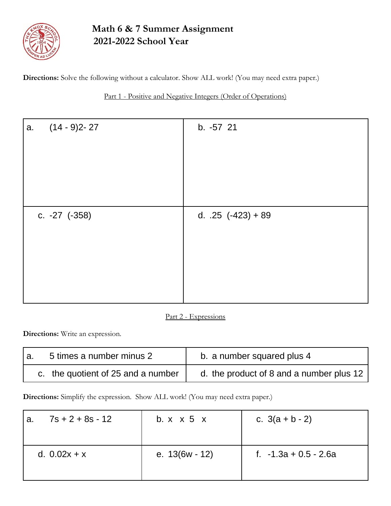

# **Math 6 & 7 Summer Assignment 2021-2022 School Year**

**Directions:** Solve the following without a calculator. Show ALL work! (You may need extra paper.)

## Part 1 - Positive and Negative Integers (Order of Operations)

| $(14 - 9)2 - 27$<br>a. | b. -57 21              |
|------------------------|------------------------|
| c. $-27$ $(-358)$      | d. $.25$ $(-423) + 89$ |

### Part 2 - Expressions

**Directions:** Write an expression.

| 5 times a number minus 2<br>۱a. |                                    | b. a number squared plus 4               |  |  |
|---------------------------------|------------------------------------|------------------------------------------|--|--|
|                                 | c. the quotient of 25 and a number | d. the product of 8 and a number plus 12 |  |  |

**Directions:** Simplify the expression. Show ALL work! (You may need extra paper.)

| $7s + 2 + 8s - 12$<br>a. | b. $x \times 5$ $x$ | c. $3(a + b - 2)$       |  |
|--------------------------|---------------------|-------------------------|--|
| d. $0.02x + x$           | e. $13(6w - 12)$    | f. $-1.3a + 0.5 - 2.6a$ |  |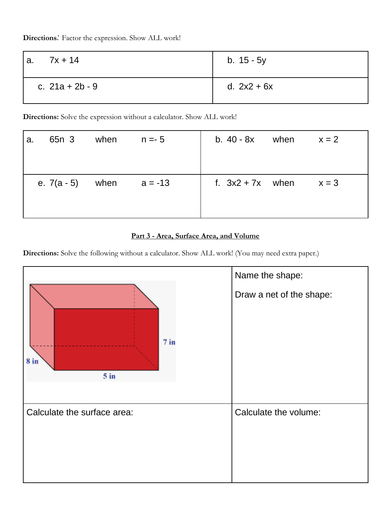**Directions***:* Factor the expression. Show ALL work!

| $7x + 14$<br>а.   | b. $15 - 5y$  |  |
|-------------------|---------------|--|
| c. $21a + 2b - 9$ | d. $2x2 + 6x$ |  |

**Directions:** Solve the expression without a calculator. Show ALL work!

| a. | 65n 3                        | when | $n = -5$ | b. $40 - 8x$ when $x = 2$ |         |
|----|------------------------------|------|----------|---------------------------|---------|
|    | e. $7(a - 5)$ when $a = -13$ |      |          | f. $3x2 + 7x$ when        | $x = 3$ |

### **Part 3 - Area, Surface Area, and Volume**

**Directions:** Solve the following without a calculator. Show ALL work! (You may need extra paper.)

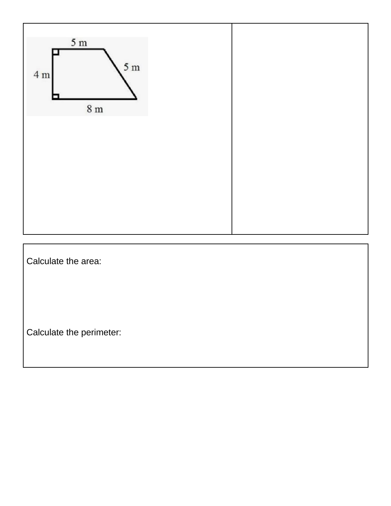

Calculate the area:

Calculate the perimeter: